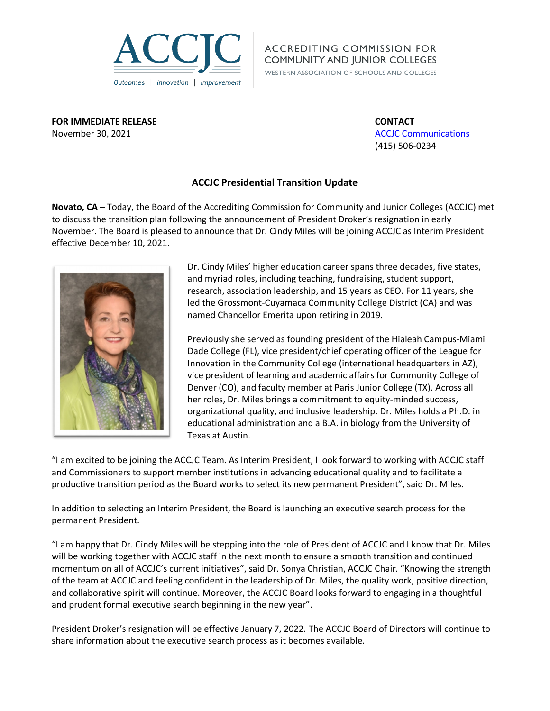

**ACCREDITING COMMISSION FOR COMMUNITY AND JUNIOR COLLEGES** 

WESTERN ASSOCIATION OF SCHOOLS AND COLLEGES

**FOR IMMEDIATE RELEASE CONTACT** November 30, 2021 **[ACCJC Communications](mailto:communications@accjc.org) ACCJC** Communications

(415) 506-0234

## **ACCJC Presidential Transition Update**

**Novato, CA** – Today, the Board of the Accrediting Commission for Community and Junior Colleges (ACCJC) met to discuss the transition plan following the announcement of President Droker's resignation in early November. The Board is pleased to announce that Dr. Cindy Miles will be joining ACCJC as Interim President effective December 10, 2021.



Dr. Cindy Miles' higher education career spans three decades, five states, and myriad roles, including teaching, fundraising, student support, research, association leadership, and 15 years as CEO. For 11 years, she led the Grossmont-Cuyamaca Community College District (CA) and was named Chancellor Emerita upon retiring in 2019.

Previously she served as founding president of the Hialeah Campus-Miami Dade College (FL), vice president/chief operating officer of the League for Innovation in the Community College (international headquarters in AZ), vice president of learning and academic affairs for Community College of Denver (CO), and faculty member at Paris Junior College (TX). Across all her roles, Dr. Miles brings a commitment to equity-minded success, organizational quality, and inclusive leadership. Dr. Miles holds a Ph.D. in educational administration and a B.A. in biology from the University of Texas at Austin.

"I am excited to be joining the ACCJC Team. As Interim President, I look forward to working with ACCJC staff and Commissioners to support member institutions in advancing educational quality and to facilitate a productive transition period as the Board works to select its new permanent President", said Dr. Miles.

In addition to selecting an Interim President, the Board is launching an executive search process for the permanent President.

"I am happy that Dr. Cindy Miles will be stepping into the role of President of ACCJC and I know that Dr. Miles will be working together with ACCJC staff in the next month to ensure a smooth transition and continued momentum on all of ACCJC's current initiatives", said Dr. Sonya Christian, ACCJC Chair. "Knowing the strength of the team at ACCJC and feeling confident in the leadership of Dr. Miles, the quality work, positive direction, and collaborative spirit will continue. Moreover, the ACCJC Board looks forward to engaging in a thoughtful and prudent formal executive search beginning in the new year".

President Droker's resignation will be effective January 7, 2022. The ACCJC Board of Directors will continue to share information about the executive search process as it becomes available.